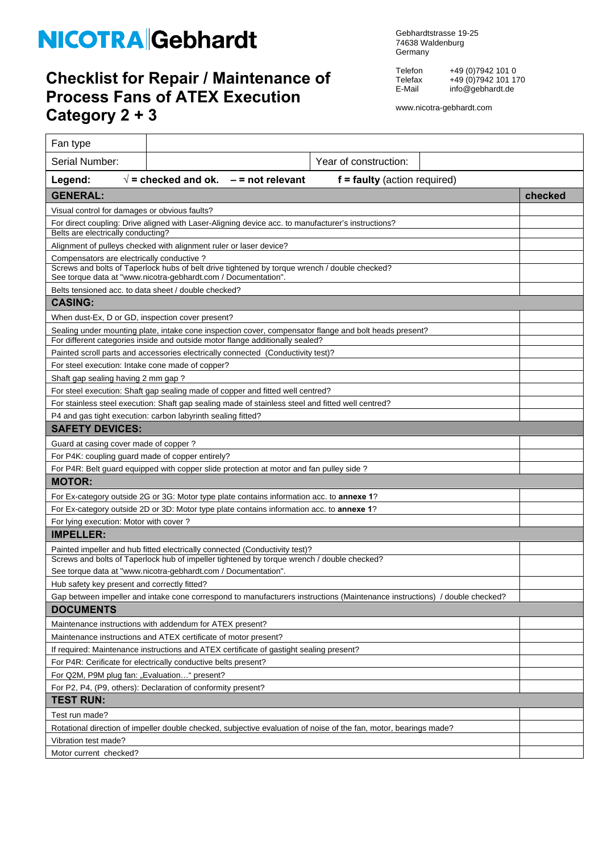## NICOTRA Gebhardt

## **Checklist for Repair / Maintenance of Process Fans of ATEX Execution Category 2 + 3**

Gebhardtstrasse 19-25 74638 Waldenburg Germany

Telefon +49 (0)7942 101 0 Telefax +49 (0)7942 101 170 E-Mail info@gebhardt.de

www.nicotra-gebhardt.com

| Fan type                                                                                                                                                        |                                                                                  |                                |  |         |  |  |
|-----------------------------------------------------------------------------------------------------------------------------------------------------------------|----------------------------------------------------------------------------------|--------------------------------|--|---------|--|--|
| Serial Number:                                                                                                                                                  |                                                                                  | Year of construction:          |  |         |  |  |
| Legend:                                                                                                                                                         | $\sqrt{}$ = checked and ok.<br>$-$ = not relevant                                | $f =$ faulty (action required) |  |         |  |  |
| <b>GENERAL:</b>                                                                                                                                                 |                                                                                  |                                |  | checked |  |  |
| Visual control for damages or obvious faults?                                                                                                                   |                                                                                  |                                |  |         |  |  |
| For direct coupling: Drive aligned with Laser-Aligning device acc. to manufacturer's instructions?                                                              |                                                                                  |                                |  |         |  |  |
| Belts are electrically conducting?                                                                                                                              |                                                                                  |                                |  |         |  |  |
| Alignment of pulleys checked with alignment ruler or laser device?                                                                                              |                                                                                  |                                |  |         |  |  |
| Compensators are electrically conductive?                                                                                                                       |                                                                                  |                                |  |         |  |  |
| Screws and bolts of Taperlock hubs of belt drive tightened by torque wrench / double checked?<br>See torque data at "www.nicotra-gebhardt.com / Documentation". |                                                                                  |                                |  |         |  |  |
| Belts tensioned acc. to data sheet / double checked?                                                                                                            |                                                                                  |                                |  |         |  |  |
| <b>CASING:</b>                                                                                                                                                  |                                                                                  |                                |  |         |  |  |
|                                                                                                                                                                 | When dust-Ex, D or GD, inspection cover present?                                 |                                |  |         |  |  |
| Sealing under mounting plate, intake cone inspection cover, compensator flange and bolt heads present?                                                          |                                                                                  |                                |  |         |  |  |
| For different categories inside and outside motor flange additionally sealed?                                                                                   |                                                                                  |                                |  |         |  |  |
|                                                                                                                                                                 | Painted scroll parts and accessories electrically connected (Conductivity test)? |                                |  |         |  |  |
| For steel execution: Intake cone made of copper?                                                                                                                |                                                                                  |                                |  |         |  |  |
| Shaft gap sealing having 2 mm gap?                                                                                                                              |                                                                                  |                                |  |         |  |  |
| For steel execution: Shaft gap sealing made of copper and fitted well centred?                                                                                  |                                                                                  |                                |  |         |  |  |
| For stainless steel execution: Shaft gap sealing made of stainless steel and fitted well centred?                                                               |                                                                                  |                                |  |         |  |  |
| P4 and gas tight execution: carbon labyrinth sealing fitted?<br><b>SAFETY DEVICES:</b>                                                                          |                                                                                  |                                |  |         |  |  |
|                                                                                                                                                                 |                                                                                  |                                |  |         |  |  |
| Guard at casing cover made of copper?<br>For P4K: coupling guard made of copper entirely?                                                                       |                                                                                  |                                |  |         |  |  |
|                                                                                                                                                                 |                                                                                  |                                |  |         |  |  |
| For P4R: Belt guard equipped with copper slide protection at motor and fan pulley side?<br><b>MOTOR:</b>                                                        |                                                                                  |                                |  |         |  |  |
| For Ex-category outside 2G or 3G: Motor type plate contains information acc. to <b>annexe 1</b> ?                                                               |                                                                                  |                                |  |         |  |  |
| For Ex-category outside 2D or 3D: Motor type plate contains information acc. to <b>annexe 1</b> ?                                                               |                                                                                  |                                |  |         |  |  |
| For lying execution: Motor with cover?                                                                                                                          |                                                                                  |                                |  |         |  |  |
| <b>IMPELLER:</b>                                                                                                                                                |                                                                                  |                                |  |         |  |  |
|                                                                                                                                                                 | Painted impeller and hub fitted electrically connected (Conductivity test)?      |                                |  |         |  |  |
| Screws and bolts of Taperlock hub of impeller tightened by torque wrench / double checked?                                                                      |                                                                                  |                                |  |         |  |  |
| See torque data at "www.nicotra-gebhardt.com / Documentation".                                                                                                  |                                                                                  |                                |  |         |  |  |
| Hub safety key present and correctly fitted?                                                                                                                    |                                                                                  |                                |  |         |  |  |
| Gap between impeller and intake cone correspond to manufacturers instructions (Maintenance instructions) / double checked?                                      |                                                                                  |                                |  |         |  |  |
| <b>DOCUMENTS</b>                                                                                                                                                |                                                                                  |                                |  |         |  |  |
|                                                                                                                                                                 | Maintenance instructions with addendum for ATEX present?                         |                                |  |         |  |  |
| Maintenance instructions and ATEX certificate of motor present?                                                                                                 |                                                                                  |                                |  |         |  |  |
| If required: Maintenance instructions and ATEX certificate of gastight sealing present?                                                                         |                                                                                  |                                |  |         |  |  |
| For P4R: Cerificate for electrically conductive belts present?                                                                                                  |                                                                                  |                                |  |         |  |  |
| For Q2M, P9M plug fan: "Evaluation" present?                                                                                                                    |                                                                                  |                                |  |         |  |  |
| For P2, P4, (P9, others): Declaration of conformity present?                                                                                                    |                                                                                  |                                |  |         |  |  |
| <b>TEST RUN:</b>                                                                                                                                                |                                                                                  |                                |  |         |  |  |
| Test run made?                                                                                                                                                  |                                                                                  |                                |  |         |  |  |
| Rotational direction of impeller double checked, subjective evaluation of noise of the fan, motor, bearings made?                                               |                                                                                  |                                |  |         |  |  |
| Vibration test made?                                                                                                                                            |                                                                                  |                                |  |         |  |  |
| Motor current checked?                                                                                                                                          |                                                                                  |                                |  |         |  |  |